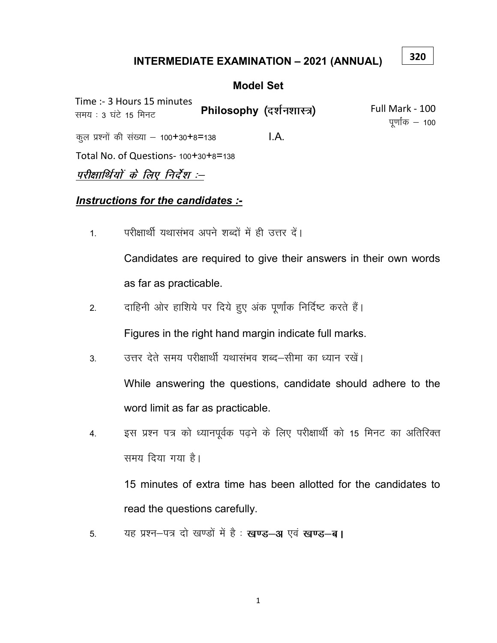## **INTERMEDIATE EXAMINATION - 2021 (ANNUAL)**

320

#### **Model Set**

Time :- 3 Hours 15 minutes Full Mark - 100 Philosophy (दर्शनशास्त्र) समय : 3 घंटे 15 मिनट पूर्णांक  $-$  100  $LA.$ कुल प्रश्नों की संख्या - 100+30+8=138 Total No. of Questions- 100+30+8=138 परीक्षार्थियों के लिए निर्देश :--

#### Instructions for the candidates :-

परीक्षार्थी यथासंभव अपने शब्दों में ही उत्तर दें।  $1.$ 

> Candidates are required to give their answers in their own words as far as practicable.

दाहिनी ओर हाशिये पर दिये हुए अंक पूर्णांक निर्दिष्ट करते हैं।  $2.$ 

Figures in the right hand margin indicate full marks.

उत्तर देते समय परीक्षार्थी यथासंभव शब्द—सीमा का ध्यान रखें। 3.

While answering the questions, candidate should adhere to the word limit as far as practicable.

इस प्रश्न पत्र को ध्यानपूर्वक पढने के लिए परीक्षार्थी को 15 मिनट का अतिरिक्त 4. समय दिया गया है।

15 minutes of extra time has been allotted for the candidates to read the questions carefully.

यह प्रश्न-पत्र दो खण्डों में है: खण्ड-अ एवं खण्ड-ब। 5.

 $\mathbf{1}$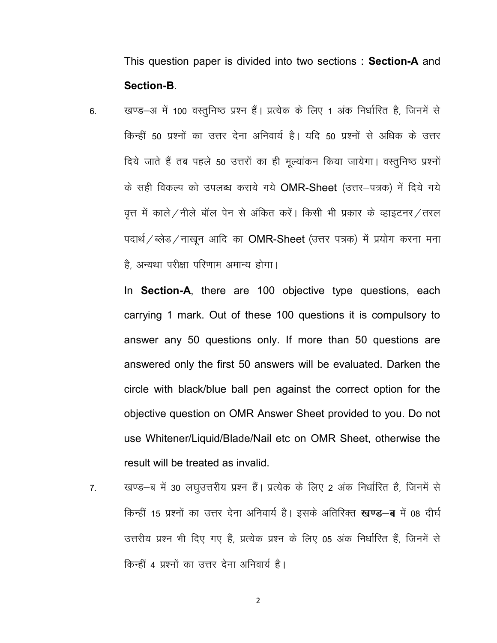This question paper is divided into two sections : Section-A and Section-B.

6. व्यण्ड–अ में 100 वस्तुनिष्ठ प्रश्न हैं। प्रत्येक के लिए 1 अंक निर्धारित है, जिनमें से किन्हीं 50 प्रश्नों का उत्तर देना अनिवार्य है। यदि 50 प्रश्नों से अधिक के उत्तर दिये जाते हैं तब पहले 50 उत्तरों का ही मूल्यांकन किया जायेगा। वस्तुनिष्ठ प्रश्नों के सही विकल्प को उपलब्ध कराये गये OMR-Sheet (उत्तर-पत्रक) में दिये गये वृत्त में काले/नीले बॉल पेन से अंकित करें। किसी भी प्रकार के व्हाइटनर/तरल पदार्थ / ब्लेड / नाखुन आदि का  $OMR\text{-}Sheet$  (उत्तर पत्रक) में प्रयोग करना मना है, अन्यथा परीक्षा परिणाम अमान्य होगा।

In **Section-A**, there are 100 objective type questions, each carrying 1 mark. Out of these 100 questions it is compulsory to answer any 50 questions only. If more than 50 questions are answered only the first 50 answers will be evaluated. Darken the circle with black/blue ball pen against the correct option for the objective question on OMR Answer Sheet provided to you. Do not use Whitener/Liquid/Blade/Nail etc on OMR Sheet, otherwise the result will be treated as invalid.

7. खण्ड-ब में 30 लघुउत्तरीय प्रश्न हैं। प्रत्येक के लिए 2 अंक निर्धारित है, जिनमें से किन्हीं 15 प्रश्नों का उत्तर देना अनिवार्य है। इसके अतिरिक्त खण्ड-ब में 08 दीर्घ उत्तरीय प्रश्न भी दिए गए हैं, प्रत्येक प्रश्न के लिए 05 अंक निर्धारित हैं, जिनमें से किन्हीं 4 प्रश्नों का उत्तर देना अनिवार्य है।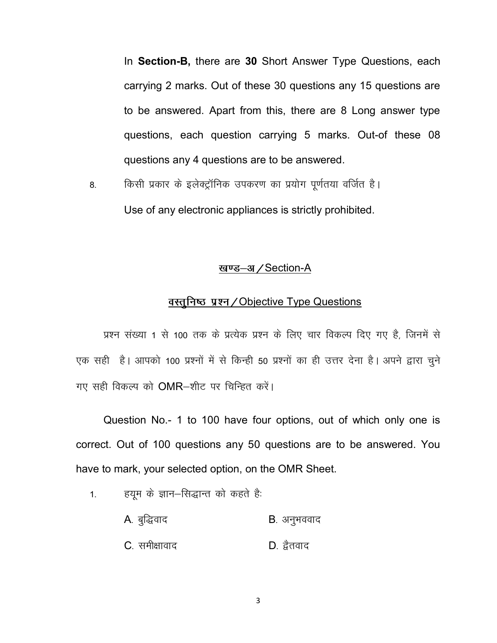In Section-B, there are 30 Short Answer Type Questions, each carrying 2 marks. Out of these 30 questions any 15 questions are to be answered. Apart from this, there are 8 Long answer type questions, each question carrying 5 marks. Out-of these 08 questions any 4 questions are to be answered.

8. किसी प्रकार के इलेक्ट्रॉनिक उपकरण का प्रयोग पूर्णतया वर्जित है। Use of any electronic appliances is strictly prohibited.

#### खण्ड-अ / Section-A

### <u>वस्तुनिष्ठ प्रश्न/Objective Type Questions</u>

प्रश्न संख्या 1 से 100 तक के प्रत्येक प्रश्न के लिए चार विकल्प दिए गए है, जिनमें से एक सही है। आपको 100 प्रश्नों में से किन्ही 50 प्रश्नों का ही उत्तर देना है। अपने द्वारा चुने गए सही विकल्प को  $OMR$ -शीट पर चिन्हित करें।

Question No.- 1 to 100 have four options, out of which only one is correct. Out of 100 questions any 50 questions are to be answered. You have to mark, your selected option, on the OMR Sheet.

1. हयूम के ज्ञान–सिद्धान्त को कहते है:

A. बुद्धिवाद बाद कर B. अनुभववाद  $C$ , समीक्षावाद $D$ , द्वैतवाद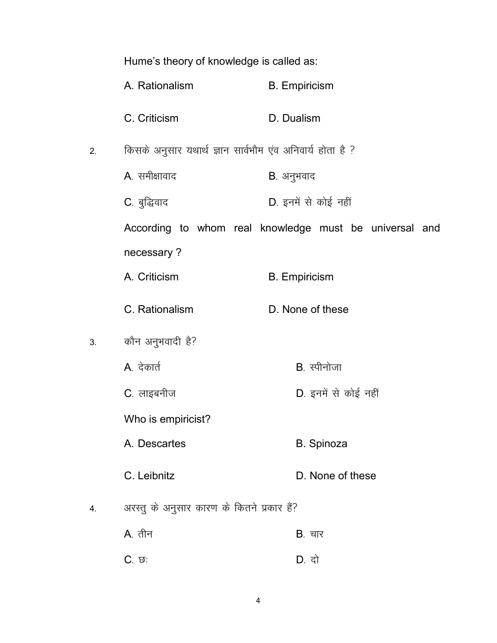|    | Hume's theory of knowledge is called as:                  |                                                        |  |
|----|-----------------------------------------------------------|--------------------------------------------------------|--|
|    | A. Rationalism                                            | <b>B.</b> Empiricism                                   |  |
|    | C. Criticism                                              | D. Dualism                                             |  |
| 2. | किसके अनुसार यथार्थ ज्ञान सार्वभौम एंव अनिवार्य होता है ? |                                                        |  |
|    | A. समीक्षावाद                                             | <b>B</b> . अनुभवाद                                     |  |
|    | C. बुद्धिवाद                                              | D. इनमें से कोई नहीं                                   |  |
|    |                                                           | According to whom real knowledge must be universal and |  |
|    | necessary?                                                |                                                        |  |
|    | A. Criticism                                              | <b>B.</b> Empiricism                                   |  |
|    | C. Rationalism                                            | D. None of these                                       |  |
| 3. | कौन अनुभवादी है?                                          |                                                        |  |
|    | A. देकार्त                                                | B. स्पीनोजा                                            |  |
|    | C. लाइबनीज                                                | D. इनमें से कोई नहीं                                   |  |
|    | Who is empiricist?                                        |                                                        |  |
|    | A. Descartes                                              | <b>B.</b> Spinoza                                      |  |
|    | C. Leibnitz                                               | D. None of these                                       |  |
| 4. | अरस्तु के अनुसार कारण के कितने प्रकार हैं?                |                                                        |  |
|    | A. तीन                                                    | <b>B</b> . चार                                         |  |
|    | C. छ:                                                     | D. दो                                                  |  |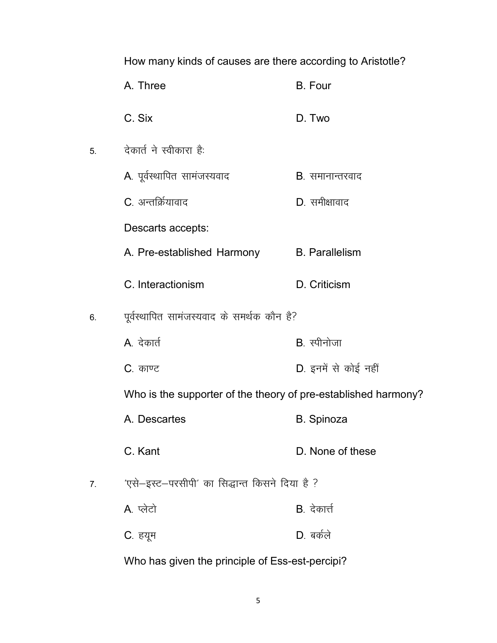How many kinds of causes are there according to Aristotle?

|    | A. Three                                                       | <b>B.</b> Four          |
|----|----------------------------------------------------------------|-------------------------|
|    | C. Six                                                         | D. Two                  |
| 5. | देकार्त ने स्वीकारा है:                                        |                         |
|    | A. पूर्वस्थापित सामंजस्यवाद                                    | <b>B</b> . समानान्तरवाद |
|    | C. अन्तर्क्रियावाद                                             | D. समीक्षावाद           |
|    | Descarts accepts:                                              |                         |
|    | A. Pre-established Harmony                                     | <b>B.</b> Parallelism   |
|    | C. Interactionism                                              | D. Criticism            |
| 6. | पूर्वस्थापित सामंजस्यवाद के समर्थक कौन है?                     |                         |
|    | A. देकार्त                                                     | B. स्पीनोजा             |
|    | C. काण्ट                                                       | D. इनमें से कोई नहीं    |
|    | Who is the supporter of the theory of pre-established harmony? |                         |
|    | A. Descartes                                                   | <b>B.</b> Spinoza       |
|    | C. Kant                                                        | D. None of these        |
| 7. | 'एसे-इस्ट-परसीपी' का सिद्धान्त किसने दिया है ?                 |                         |
|    | A. प्लेटो                                                      | <b>B</b> . देकार्त्त    |
|    | C. हयूम                                                        | $D.$ बर्कले             |
|    |                                                                |                         |

Who has given the principle of Ess-est-percipi?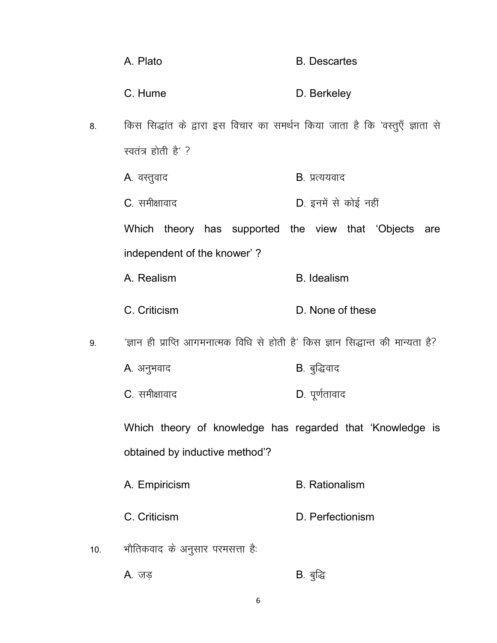|     | A. Plato                                                                         | <b>B.</b> Descartes   |
|-----|----------------------------------------------------------------------------------|-----------------------|
|     | C. Hume                                                                          | D. Berkeley           |
| 8.  | किस सिद्धांत के द्वारा इस विचार का समर्थन किया जाता है कि 'वस्तुएँ ज्ञाता से     |                       |
|     | स्वतंत्र होती है' ?                                                              |                       |
|     | A. वस्तुवाद                                                                      | <b>B</b> . प्रत्ययवाद |
|     | C. समीक्षावाद                                                                    | D. इनमें से कोई नहीं  |
|     | Which theory has supported the view that 'Objects                                | are                   |
|     | independent of the knower'?                                                      |                       |
|     | A. Realism                                                                       | <b>B.</b> Idealism    |
|     | C. Criticism                                                                     | D. None of these      |
| 9.  | 'ज्ञान ही प्राप्ति आगमनात्मक विधि से होती है' किस ज्ञान सिद्धान्त की मान्यता है? |                       |
|     | A. अनुभवाद                                                                       | B. बुद्धिवाद          |
|     | C. समीक्षावाद                                                                    | D. पूर्णतावाद         |
|     | Which theory of knowledge has regarded that 'Knowledge is                        |                       |
|     | obtained by inductive method'?                                                   |                       |
|     | A. Empiricism                                                                    | <b>B.</b> Rationalism |
|     | C. Criticism                                                                     | D. Perfectionism      |
| 10. | भौतिकवाद के अनुसार परमसत्ता है:                                                  |                       |

A. जड़ <u>कार्या</u> से B. बुद्धि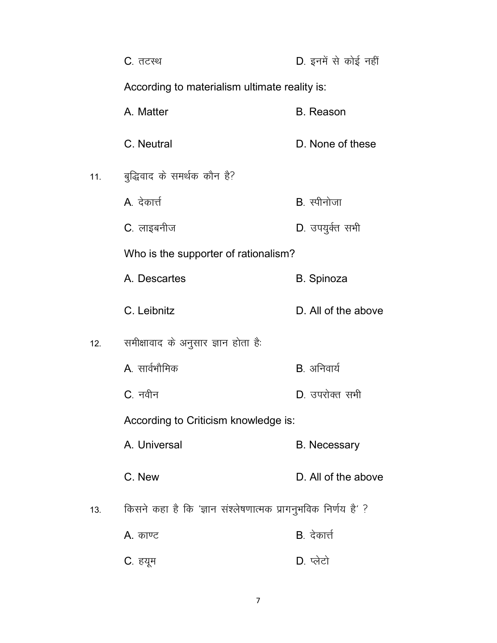|     | <b>C</b> . तटस्थ                                              | D. इनमें से कोई नहीं |
|-----|---------------------------------------------------------------|----------------------|
|     | According to materialism ultimate reality is:                 |                      |
|     | A. Matter                                                     | <b>B.</b> Reason     |
|     | C. Neutral                                                    | D. None of these     |
| 11. | बुद्धिवाद के समर्थक कौन है?                                   |                      |
|     | A. देकार्त्त                                                  | B. स्पीनोजा          |
|     | C. लाइबनीज                                                    | D. उपयुर्कत सभी      |
|     | Who is the supporter of rationalism?                          |                      |
|     | A. Descartes                                                  | <b>B.</b> Spinoza    |
|     | C. Leibnitz                                                   | D. All of the above  |
| 12. | समीक्षावाद के अनुसार ज्ञान होता है:                           |                      |
|     | A सार्वभौमिक                                                  | B. अनिवार्य          |
|     | C. नवीन                                                       | D. उपरोक्त सभी       |
|     | According to Criticism knowledge is:                          |                      |
|     | A. Universal                                                  | <b>B.</b> Necessary  |
|     | C. New                                                        | D. All of the above  |
| 13. | किसने कहा है कि 'ज्ञान संश्लेषणात्मक प्रागनुभविक निर्णय है' ? |                      |
|     | A. काण्ट                                                      | <b>B</b> . देकार्त्त |
|     | C. हयूम                                                       | D. प्लेटो            |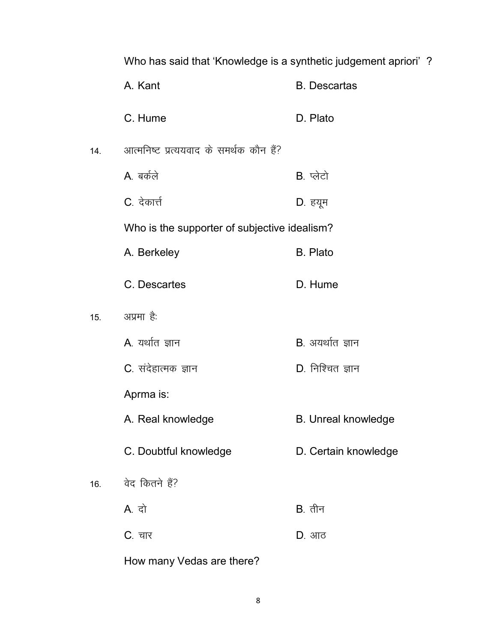Who has said that 'Knowledge is a synthetic judgement apriori' ? A. Kant **B.** Descartas C. Hume D. Plato आत्मनिष्ट प्रत्ययवाद के समर्थक कौन हैं?  $14.$ A. बर्कले  $B.$  प्लेटो C. देकार्त्त D. हयूम Who is the supporter of subjective idealism? A. Berkeley **B.** Plato C. Descartes D. Hume अप्रमा है:  $15.$ A. यर्थात ज्ञान  $B.$  अयर्थात ज्ञान C. संदेहात्मक ज्ञान D. निश्चित ज्ञान Aprma is: A. Real knowledge **B.** Unreal knowledge C. Doubtful knowledge D. Certain knowledge वेद कितने हैं?  $16.$ A. दो  $B.$  तीन **C**. चार  $D.$  आठ

How many Vedas are there?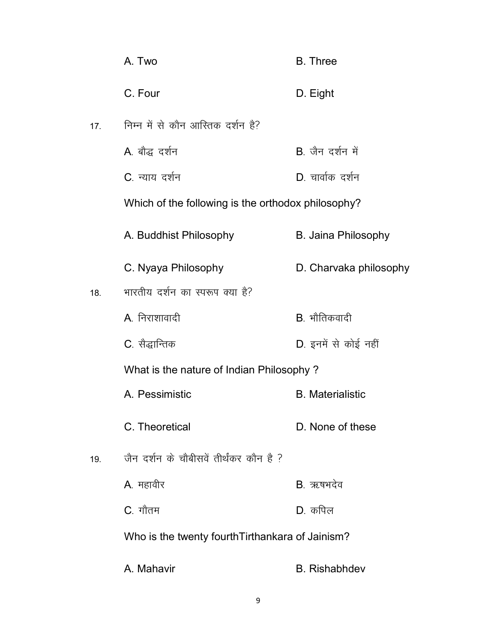|     | A. Two                                             | <b>B.</b> Three            |
|-----|----------------------------------------------------|----------------------------|
|     | C. Four                                            | D. Eight                   |
| 17. | निम्न में से कौन आस्तिक दर्शन है?                  |                            |
|     | A. बौद्ध दर्शन                                     | <b>B</b> जैन दर्शन में     |
|     | C. न्याय दर्शन                                     | D. चार्वाक दर्शन           |
|     | Which of the following is the orthodox philosophy? |                            |
|     | A. Buddhist Philosophy                             | <b>B. Jaina Philosophy</b> |
|     | C. Nyaya Philosophy                                | D. Charvaka philosophy     |
| 18. | भारतीय दर्शन का स्परूप क्या है?                    |                            |
|     | A. निराशावादी                                      | B. भौतिकवादी               |
|     | C. सैद्धान्तिक                                     | D. इनमें से कोई नहीं       |
|     | What is the nature of Indian Philosophy?           |                            |
|     | A. Pessimistic                                     | <b>B.</b> Materialistic    |
|     | C. Theoretical                                     | D. None of these           |
| 19. | जैन दर्शन के चौबीसवें तीर्थंकर कौन है ?            |                            |
|     | <b>A</b> . महावीर                                  | B. ऋषभदेव                  |
|     | C. गौतम                                            | D. कपिल                    |
|     | Who is the twenty fourth Tirthankara of Jainism?   |                            |
|     | A. Mahavir                                         | <b>B.</b> Rishabhdev       |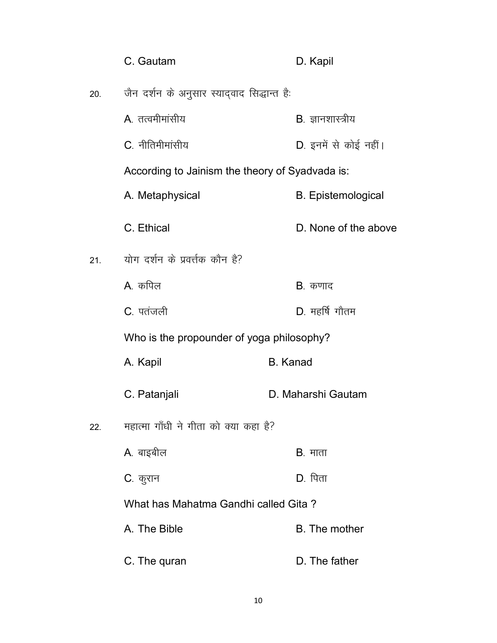|     | C. Gautam                                       | D. Kapil                  |
|-----|-------------------------------------------------|---------------------------|
| 20. | जैन दर्शन के अनुसार स्यादवाद सिद्धान्त है:      |                           |
|     | A तत्वमीमांसीय                                  | B. ज्ञानशास्त्रीय         |
|     | C. नीतिमीमांसीय                                 | D. इनमें से कोई नहीं।     |
|     | According to Jainism the theory of Syadvada is: |                           |
|     | A. Metaphysical                                 | <b>B.</b> Epistemological |
|     | C. Ethical                                      | D. None of the above      |
| 21. | योग दर्शन के प्रवर्त्तक कौन है?                 |                           |
|     | A कपिल                                          | <b>B</b> . कणाद           |
|     | C. पतंजली                                       | D. महर्षि गौतम            |
|     | Who is the propounder of yoga philosophy?       |                           |
|     | A. Kapil                                        | <b>B.</b> Kanad           |
|     | C. Patanjali                                    | D. Maharshi Gautam        |
| 22. | महात्मा गाँधी ने गीता को क्या कहा है?           |                           |
|     | A. बाइबील                                       | $B.$ माता                 |
|     | C. कुरान                                        | <b>D</b> . पिता           |
|     | What has Mahatma Gandhi called Gita?            |                           |
|     | A. The Bible                                    | <b>B.</b> The mother      |
|     | C. The quran                                    | D. The father             |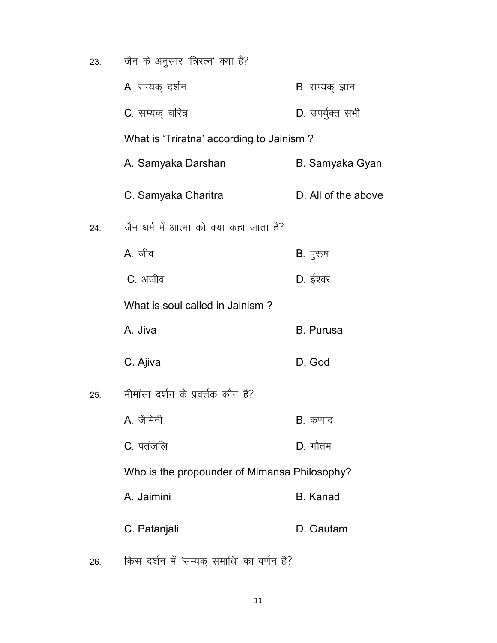| 23. | जैन के अनुसार 'त्रिरत्न' क्या है?            |                         |
|-----|----------------------------------------------|-------------------------|
|     | A. सम्यक् दर्शन                              | <b>B</b> . सम्यक् ज्ञान |
|     | C. सम्यक् चरित्र                             | D. उपर्युक्त सभी        |
|     | What is 'Triratna' according to Jainism?     |                         |
|     | A. Samyaka Darshan                           | B. Samyaka Gyan         |
|     | C. Samyaka Charitra                          | D. All of the above     |
| 24. | जैन धर्म में आत्मा को क्या कहा जाता है?      |                         |
|     | A. जीव                                       | <b>B</b> . पुरूष        |
|     | <b>C</b> . अजीव                              | D. ईश्वर                |
|     | What is soul called in Jainism?              |                         |
|     | A. Jiva                                      | <b>B.</b> Purusa        |
|     | C. Ajiva                                     | D. God                  |
| 25. | मीमांसा दर्शन के प्रवर्त्तक कौन हैं?         |                         |
|     | A. जैमिनी                                    | <b>B</b> . कणाद         |
|     | C. पतंजलि                                    | $D.$ गौतम               |
|     | Who is the propounder of Mimansa Philosophy? |                         |
|     | A. Jaimini                                   | <b>B.</b> Kanad         |
|     | C. Patanjali                                 | D. Gautam               |
|     |                                              |                         |

26. किस दर्शन में 'सम्यक् समाधि' का वर्णन है?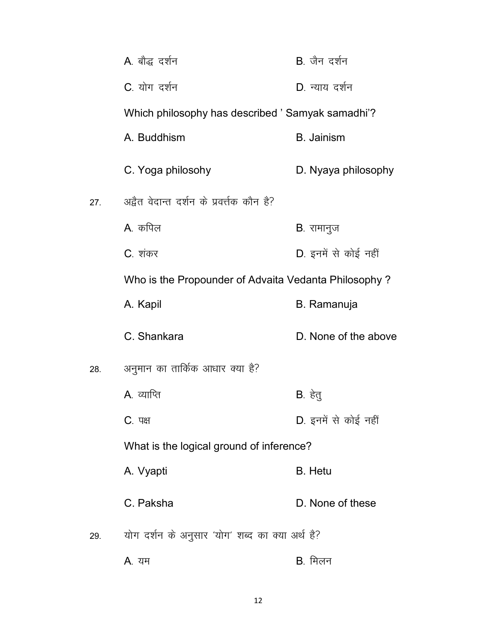|     | A. बौद्ध दर्शन                                       | B. जैन दर्शन         |
|-----|------------------------------------------------------|----------------------|
|     | C. योग दर्शन                                         | D. न्याय दर्शन       |
|     | Which philosophy has described ' Samyak samadhi'?    |                      |
|     | A. Buddhism                                          | <b>B.</b> Jainism    |
|     | C. Yoga philosohy                                    | D. Nyaya philosophy  |
| 27. | अद्वैत वेदान्त दर्शन के प्रवर्त्तक कौन है?           |                      |
|     | A. कपिल                                              | <b>B</b> . रामानुज   |
|     | C. शंकर                                              | D. इनमें से कोई नहीं |
|     | Who is the Propounder of Advaita Vedanta Philosophy? |                      |
|     | A. Kapil                                             | <b>B.</b> Ramanuja   |
|     | C. Shankara                                          | D. None of the above |
| 28. | अनुमान का तार्किक आधार क्या है?                      |                      |
|     | <b>A</b> . व्याप्ति                                  | B. हेतु              |
|     | <b>C</b> . पक्ष                                      | D. इनमें से कोई नहीं |
|     | What is the logical ground of inference?             |                      |
|     | A. Vyapti                                            | <b>B.</b> Hetu       |
|     | C. Paksha                                            | D. None of these     |
| 29. | योग दर्शन के अनुसार 'योग' शब्द का क्या अर्थ है?      |                      |
|     | A. यम                                                | B. मिलन              |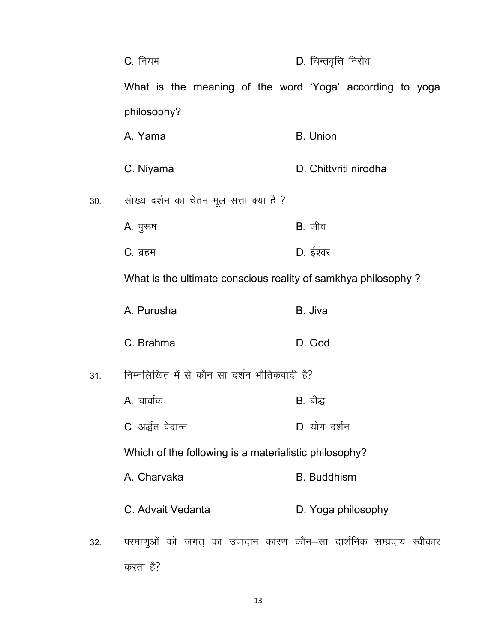|     | C. नियम                                                                       | D. चिन्तवृत्ति निरोध  |
|-----|-------------------------------------------------------------------------------|-----------------------|
|     | What is the meaning of the word 'Yoga' according to yoga                      |                       |
|     | philosophy?                                                                   |                       |
|     | A. Yama                                                                       | <b>B.</b> Union       |
|     | C. Niyama                                                                     | D. Chittyriti nirodha |
| 30. | सांख्य दर्शन का चेतन मूल सत्ता क्या है ?                                      |                       |
|     | A. पुरुष                                                                      | $B.$ जीव              |
|     | $C.$ ब्रहम                                                                    | D. ईश्वर              |
|     | What is the ultimate conscious reality of samkhya philosophy?                 |                       |
|     | A. Purusha                                                                    | B. Jiva               |
|     | C. Brahma                                                                     | D. God                |
| 31. | निम्नलिखित में से कौन सा दर्शन भौतिकवादी है?                                  |                       |
|     | A. चार्वाक                                                                    | <b>B</b> . बौद्ध      |
|     | C. अर्द्धत वेदान्त                                                            | D. योग दर्शन          |
|     | Which of the following is a materialistic philosophy?                         |                       |
|     | A. Charvaka                                                                   | <b>B.</b> Buddhism    |
|     | C. Advait Vedanta                                                             | D. Yoga philosophy    |
| 32. | परमाणुओं को जगत् का उपादान कारण कौन–सा दार्शनिक सम्प्रदाय स्वीकार<br>करता है? |                       |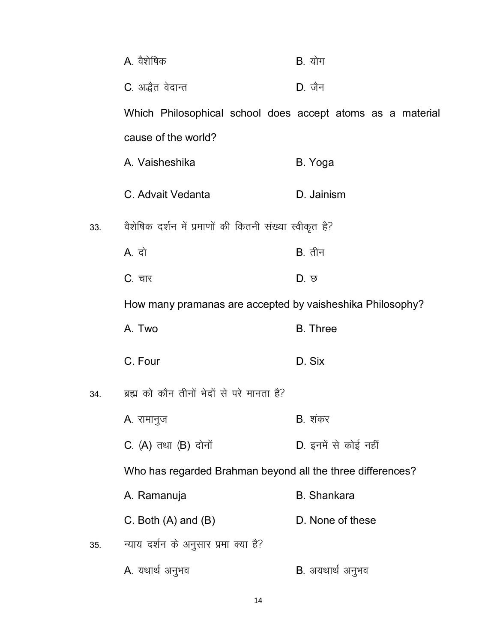|     | A. वैशेषिक                                                 | <b>B</b> . योग           |
|-----|------------------------------------------------------------|--------------------------|
|     | C. अद्धैत वेदान्त                                          | $D.$ जैन                 |
|     | Which Philosophical school does accept atoms as a material |                          |
|     | cause of the world?                                        |                          |
|     | A. Vaisheshika                                             | B. Yoga                  |
|     | C. Advait Vedanta                                          | D. Jainism               |
| 33. | वैशेषिक दर्शन में प्रमाणों की कितनी संख्या स्वीकृत है?     |                          |
|     | A. दो                                                      | $B.$ तीन                 |
|     | C. चार                                                     | D. छ                     |
|     | How many pramanas are accepted by vaisheshika Philosophy?  |                          |
|     | A. Two                                                     | <b>B.</b> Three          |
|     | C. Four                                                    | D. Six                   |
| 34. | ब्रह्म को कौन तीनों भेदों से परे मानता है?                 |                          |
|     | A. रामानुज                                                 | <b>B</b> . शंकर          |
|     | C. (A) तथा (B) दोनों                                       | D. इनमें से कोई नहीं     |
|     | Who has regarded Brahman beyond all the three differences? |                          |
|     | A. Ramanuja                                                | <b>B.</b> Shankara       |
|     | C. Both $(A)$ and $(B)$                                    | D. None of these         |
| 35. | न्याय दर्शन के अनुसार प्रमा क्या है?                       |                          |
|     | A. यथार्थ अनुभव                                            | <b>B</b> . अयथार्थ अनुभव |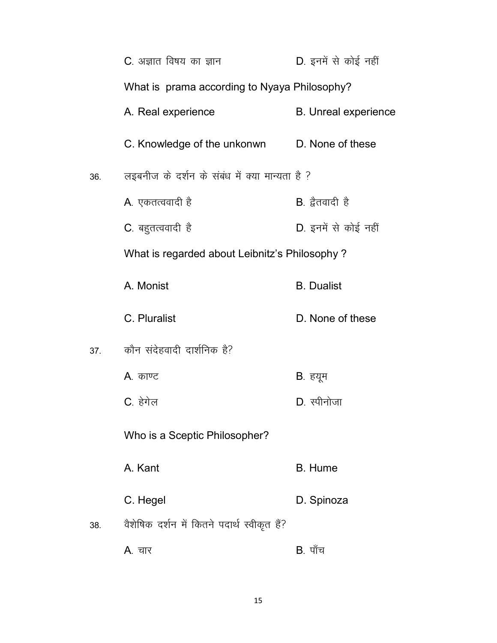|     | C. अज्ञात विषय का ज्ञान                        | D. इनमें से कोई नहीं        |
|-----|------------------------------------------------|-----------------------------|
|     | What is prama according to Nyaya Philosophy?   |                             |
|     | A. Real experience                             | <b>B.</b> Unreal experience |
|     | C. Knowledge of the unkonwn D. None of these   |                             |
| 36. | लइबनीज के दर्शन के संबंध में क्या मान्यता है ? |                             |
|     | A. एकतत्ववादी है                               | B. द्वैतवादी है             |
|     | C. बहुतत्ववादी है                              | D. इनमें से कोई नहीं        |
|     | What is regarded about Leibnitz's Philosophy?  |                             |
|     | A. Monist                                      | <b>B.</b> Dualist           |
|     | C. Pluralist                                   | D. None of these            |
| 37. | कौन संदेहवादी दार्शनिक है?                     |                             |
|     | A. काण्ट                                       | B. हयूम                     |
|     | C. हेगेल                                       | D. स्पीनोजा                 |
|     | Who is a Sceptic Philosopher?                  |                             |
|     | A. Kant                                        | <b>B.</b> Hume              |
|     | C. Hegel                                       | D. Spinoza                  |
| 38. | वैशेषिक दर्शन में कितने पदार्थ स्वीकृत हैं?    |                             |
|     | <b>A</b> . चार                                 | <b>B</b> . पाँच             |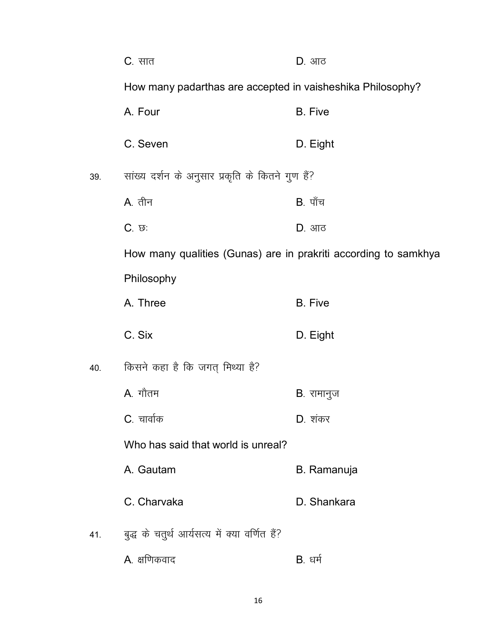|     | $C.$ सात                                                        | <b>D</b> . आठ      |  |
|-----|-----------------------------------------------------------------|--------------------|--|
|     | How many padarthas are accepted in vaisheshika Philosophy?      |                    |  |
|     | A. Four                                                         | <b>B.</b> Five     |  |
|     | C. Seven                                                        | D. Eight           |  |
| 39. | सांख्य दर्शन के अनुसार प्रकृति के कितने गुण हैं?                |                    |  |
|     | <b>A</b> . तीन                                                  | $B.$ पाँच          |  |
|     | $C.$ $\varpi$ :                                                 | D. आठ              |  |
|     | How many qualities (Gunas) are in prakriti according to samkhya |                    |  |
|     | Philosophy                                                      |                    |  |
|     | A. Three                                                        | <b>B.</b> Five     |  |
|     | C. Six                                                          | D. Eight           |  |
| 40. | किसने कहा है कि जगत् मिथ्या है?                                 |                    |  |
|     | A. गौतम                                                         | <b>B</b> . रामानुज |  |
|     | C. चार्वाक                                                      | D. शंकर            |  |
|     | Who has said that world is unreal?                              |                    |  |
|     | A. Gautam                                                       | B. Ramanuja        |  |
|     | C. Charvaka                                                     | D. Shankara        |  |
| 41. | बुद्ध के चतुर्थ आर्यसत्य में क्या वर्णित हैं?                   |                    |  |
|     | A. क्षणिकवाद                                                    | <b>B</b> . धर्म    |  |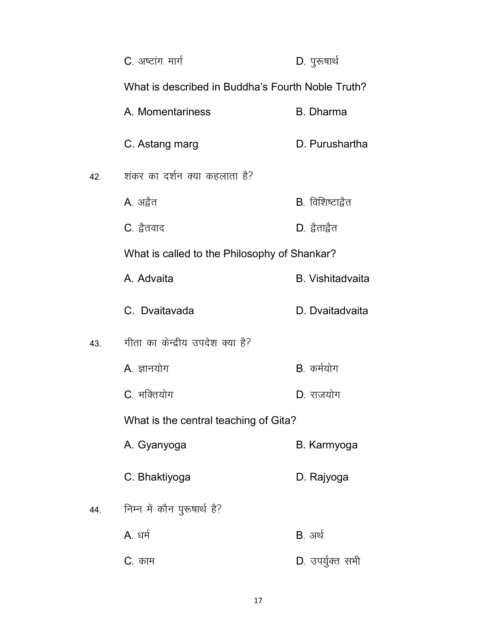|     | C. अष्टांग मार्ग                                  | D. पुरूषार्थ            |
|-----|---------------------------------------------------|-------------------------|
|     | What is described in Buddha's Fourth Noble Truth? |                         |
|     | A. Momentariness                                  | <b>B.</b> Dharma        |
|     | C. Astang marg                                    | D. Purushartha          |
| 42. | शंकर का दर्शन क्या कहलाता है?                     |                         |
|     | A. अद्वैत                                         | B. विशिष्टाद्वैत        |
|     | C. द्वेतवाद                                       | D. द्वैताद्वैत          |
|     | What is called to the Philosophy of Shankar?      |                         |
|     | A. Advaita                                        | <b>B.</b> Vishitadvaita |
|     | C. Dvaitavada                                     | D. Dvaitadvaita         |
| 43. | गीता का केन्द्रीय उपदेश क्या है?                  |                         |
|     | A. ज्ञानयोग                                       | B. कर्मयोग              |
|     | C. भक्तियोग                                       | D. राजयोग               |
|     | What is the central teaching of Gita?             |                         |
|     | A. Gyanyoga                                       | B. Karmyoga             |
|     | C. Bhaktiyoga                                     | D. Rajyoga              |
| 44. | निम्न में कौन पुरूषार्थ है?                       |                         |
|     | A. धर्म                                           | <b>B</b> . अर्थ         |
|     | C. काम                                            | D. उपर्युक्त सभी        |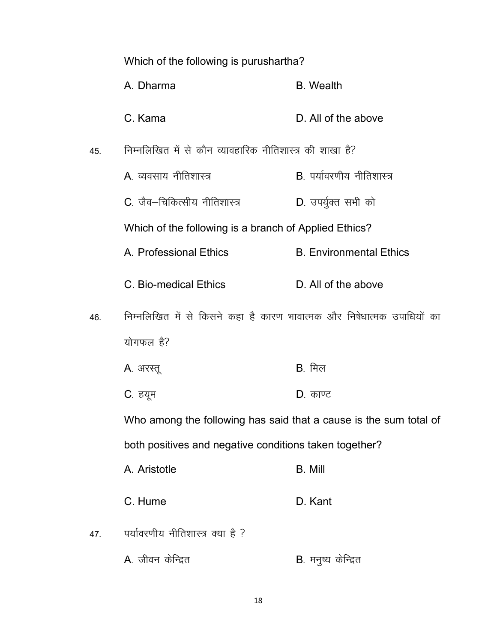|     | Which of the following is purushartha?                                 |                                   |
|-----|------------------------------------------------------------------------|-----------------------------------|
|     | A. Dharma                                                              | <b>B.</b> Wealth                  |
|     | C. Kama                                                                | D. All of the above               |
| 45  | निम्नलिखित में से कौन व्यावहारिक नीतिशास्त्र की शाखा है?               |                                   |
|     | <b>A</b> . व्यवसाय नीतिशास्त्र                                         | <b>B</b> . पर्यावरणीय नीतिशास्त्र |
|     | C. जैव–चिकित्सीय नीतिशास्त्र                                           | D. उपर्युक्त सभी को               |
|     | Which of the following is a branch of Applied Ethics?                  |                                   |
|     | A. Professional Ethics                                                 | <b>B. Environmental Ethics</b>    |
|     | C. Bio-medical Ethics                                                  | D. All of the above               |
| 46. | निम्नलिखित में से किसने कहा है कारण भावात्मक और निषेधात्मक उपाधियों का |                                   |
|     | योगफल है?                                                              |                                   |
|     | <b>A</b> . अरस्तू                                                      | $B.$ मिल                          |
|     | C. हयूम                                                                | $D.$ काण्ट                        |
|     | Who among the following has said that a cause is the sum total of      |                                   |
|     | both positives and negative conditions taken together?                 |                                   |
|     | A. Aristotle                                                           | <b>B.</b> Mill                    |
|     | C. Hume                                                                | D. Kant                           |
| 47. | पर्यावरणीय नीतिशास्त्र क्या है ?                                       |                                   |
|     | A. जीवन केन्द्रित                                                      | B. मनुष्य केन्द्रित               |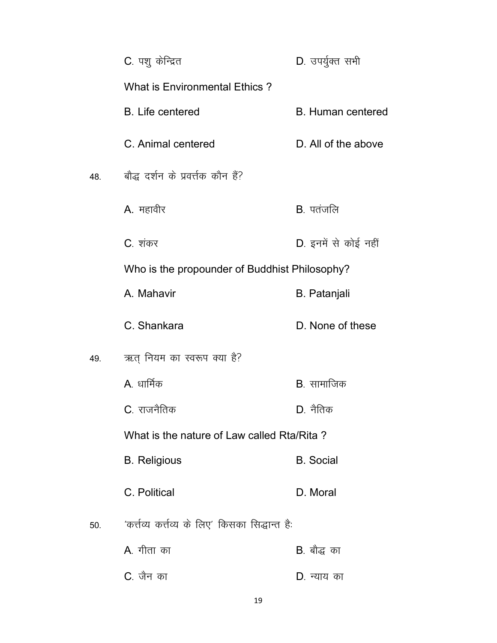|     | C. पशु केन्द्रित                                 | D. उपर्युक्त सभी         |
|-----|--------------------------------------------------|--------------------------|
|     | <b>What is Environmental Ethics?</b>             |                          |
|     | <b>B.</b> Life centered                          | <b>B.</b> Human centered |
|     | C. Animal centered                               | D. All of the above      |
| 48. | बौद्ध दर्शन के प्रवर्त्तक कौन हैं?               |                          |
|     | A. महावीर                                        | B. पतंजलि                |
|     | C. शंकर                                          | D. इनमें से कोई नहीं     |
|     | Who is the propounder of Buddhist Philosophy?    |                          |
|     | A. Mahavir                                       | <b>B.</b> Patanjali      |
|     | C. Shankara                                      | D. None of these         |
| 49. | ऋत् नियम का स्वरूप क्या है?                      |                          |
|     | A धार्मिक                                        | <b>B</b> . सामाजिक       |
|     | C. राजनैतिक                                      | D. नैतिक                 |
|     | What is the nature of Law called Rta/Rita?       |                          |
|     | <b>B.</b> Religious                              | <b>B.</b> Social         |
|     | C. Political                                     | D. Moral                 |
| 50. | 'कर्त्तव्य कर्त्तव्य के लिए' किसका सिद्धान्त है: |                          |
|     | A. गीता का                                       | B. बौद्ध का              |
|     | C. जैन का                                        | D. न्याय का              |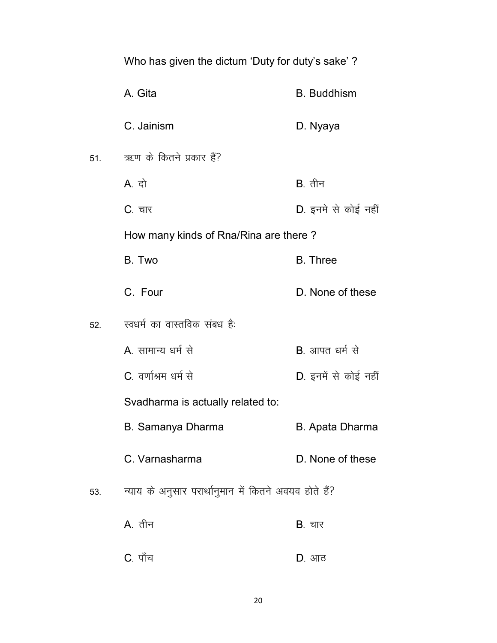|     | Who has given the dictum 'Duty for duty's sake'?      |                        |
|-----|-------------------------------------------------------|------------------------|
|     | A. Gita                                               | <b>B.</b> Buddhism     |
|     | C. Jainism                                            | D. Nyaya               |
| 51. | ऋण के कितने प्रकार हैं?                               |                        |
|     | A दो                                                  | $B.$ तीन               |
|     | C. चार                                                | D. इनमे से कोई नहीं    |
|     | How many kinds of Rna/Rina are there?                 |                        |
|     | B. Two                                                | <b>B.</b> Three        |
|     | C. Four                                               | D. None of these       |
| 52. | स्वधर्म का वास्तविक संबध है:                          |                        |
|     | A. सामान्य धर्म से                                    | <b>B</b> . आपत धर्म से |
|     | C. वर्णाश्रम धर्म से                                  | D. इनमें से कोई नहीं   |
|     | Svadharma is actually related to:                     |                        |
|     | <b>B. Samanya Dharma</b>                              | <b>B. Apata Dharma</b> |
|     | C. Varnasharma                                        | D. None of these       |
| 53. | न्याय के अनुसार परार्थानुमान में कितने अवयव होते हैं? |                        |
|     | A. तीन                                                | <b>B</b> . चार         |
|     | C. पाँच                                               | D. आठ                  |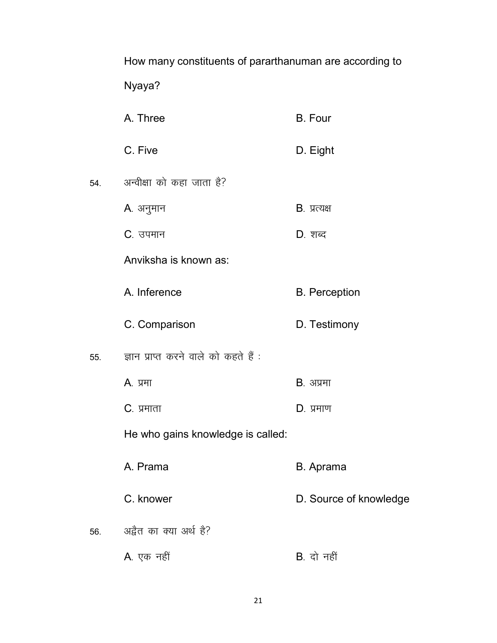|     | How many constituents of pararthanuman are according to |                        |
|-----|---------------------------------------------------------|------------------------|
|     | Nyaya?                                                  |                        |
|     | A. Three                                                | <b>B.</b> Four         |
|     | C. Five                                                 | D. Eight               |
| 54. | अन्वीक्षा को कहा जाता है?                               |                        |
|     | A. अनुमान                                               | $B.$ प्रत्यक्ष         |
|     | C. उपमान                                                | D. शब्द                |
|     | Anviksha is known as:                                   |                        |
|     | A. Inference                                            | <b>B.</b> Perception   |
|     | C. Comparison                                           | D. Testimony           |
| 55. | ज्ञान प्राप्त करने वाले को कहते हैं :                   |                        |
|     | A. प्रमा                                                | <b>B.</b> अप्रमा       |
|     | C. प्रमाता                                              | $D.$ प्रमाण            |
|     | He who gains knowledge is called:                       |                        |
|     | A. Prama                                                | B. Aprama              |
|     | C. knower                                               | D. Source of knowledge |
| 56. | अद्वैत का क्या अर्थ है?                                 |                        |
|     | A. एक नहीं                                              | <b>B</b> . दो नहीं     |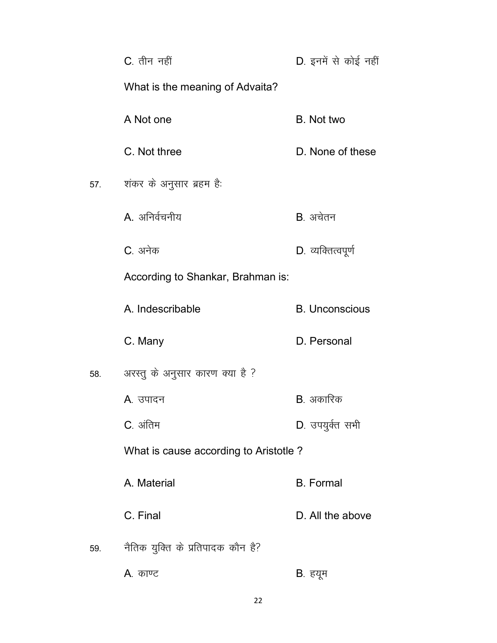|     | C. तीन नहीं                           | D. इनमें से कोई नहीं  |
|-----|---------------------------------------|-----------------------|
|     | What is the meaning of Advaita?       |                       |
|     | A Not one                             | B. Not two            |
|     | C. Not three                          | D. None of these      |
|     | शंकर के अनुसार ब्रहम है:              |                       |
|     | A. अनिर्वचनीय                         | B. अचेतन              |
|     | C. अनेक                               | D. व्यक्तित्वपूर्ण    |
|     | According to Shankar, Brahman is:     |                       |
|     | A. Indescribable                      | <b>B.</b> Unconscious |
|     | C. Many                               | D. Personal           |
| 58. | अरस्तु के अनुसार कारण क्या है ?       |                       |
|     | A. उपादन                              | B. अकारिक             |
|     | C. अंतिम                              | D. उपयुर्क्त सभी      |
|     | What is cause according to Aristotle? |                       |
|     | A. Material                           | <b>B.</b> Formal      |
|     | C. Final                              | D. All the above      |
| 59. | नैतिक युक्ति के प्रतिपादक कौन है?     |                       |
|     | A. काण्ट                              | B. हयूम               |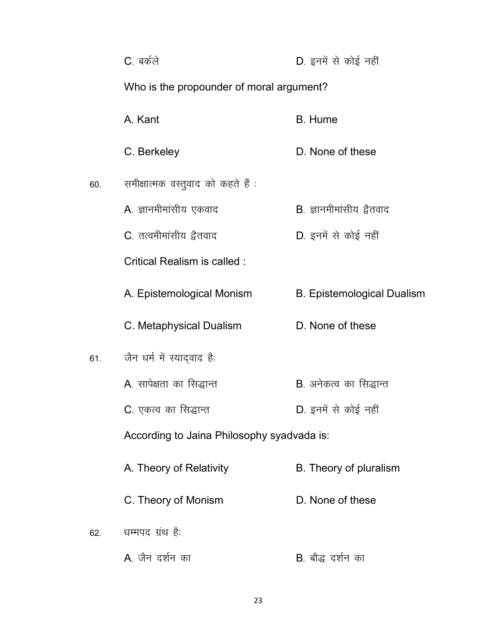|     | C. बर्कले                                  | D. इनमें से कोई नहीं              |  |
|-----|--------------------------------------------|-----------------------------------|--|
|     | Who is the propounder of moral argument?   |                                   |  |
|     | A. Kant                                    | <b>B.</b> Hume                    |  |
|     | C. Berkeley                                | D. None of these                  |  |
| 60. | समीक्षात्मक वस्तुवाद को कहते हैं :         |                                   |  |
|     | A. ज्ञानमीमांसीय एकवाद                     | <b>B</b> . ज्ञानमीमांसीय द्वैतवाद |  |
|     | C. तत्वमीमांसीय द्वैतवाद                   | D. इनमें से कोई नहीं              |  |
|     | Critical Realism is called:                |                                   |  |
|     | A. Epistemological Monism                  | <b>B.</b> Epistemological Dualism |  |
|     | C. Metaphysical Dualism                    | D. None of these                  |  |
| 61. | जैन धर्म में स्याद्वाद है:                 |                                   |  |
|     | A. सापेक्षता का सिद्धान्त                  | <b>B</b> . अनेकत्व का सिद्धान्त   |  |
|     | C. एकत्व का सिद्धान्त                      | D. इनमें से कोई नहीं              |  |
|     | According to Jaina Philosophy syadvada is: |                                   |  |
|     | A. Theory of Relativity                    | B. Theory of pluralism            |  |
|     | C. Theory of Monism                        | D. None of these                  |  |
| 62. | धम्मपद ग्रंथ है:                           |                                   |  |
|     | A जैन दर्शन का                             | B. बौद्ध दर्शन का                 |  |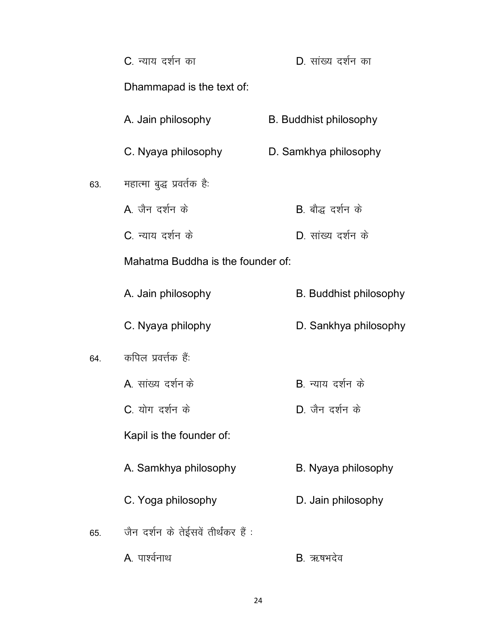|     | C. न्याय दर्शन का                   | D. सांख्य दर्शन का            |
|-----|-------------------------------------|-------------------------------|
|     | Dhammapad is the text of:           |                               |
|     | A. Jain philosophy                  | <b>B.</b> Buddhist philosophy |
|     | C. Nyaya philosophy                 | D. Samkhya philosophy         |
| 63. | महात्मा बुद्ध प्रवर्तक है:          |                               |
|     | A जैन दर्शन के                      | B. बौद्ध दर्शन के             |
|     | C. न्याय दर्शन के                   | D. सांख्य दर्शन के            |
|     | Mahatma Buddha is the founder of:   |                               |
|     | A. Jain philosophy                  | <b>B.</b> Buddhist philosophy |
|     | C. Nyaya philophy                   | D. Sankhya philosophy         |
| 64. | कपिल प्रवर्त्तक हैं:                |                               |
|     | A) सांख्य दर्शन के                  | <b>B</b> न्याय दर्शन के       |
|     | C. योग दर्शन के                     | D. जैन दर्शन के               |
|     | Kapil is the founder of:            |                               |
|     | A. Samkhya philosophy               | B. Nyaya philosophy           |
|     | C. Yoga philosophy                  | D. Jain philosophy            |
| 65. | जैन दर्शन के तेईसवें तीर्थंकर हैं : |                               |
|     | A. पार्श्वनाथ                       | B. ऋषभदेव                     |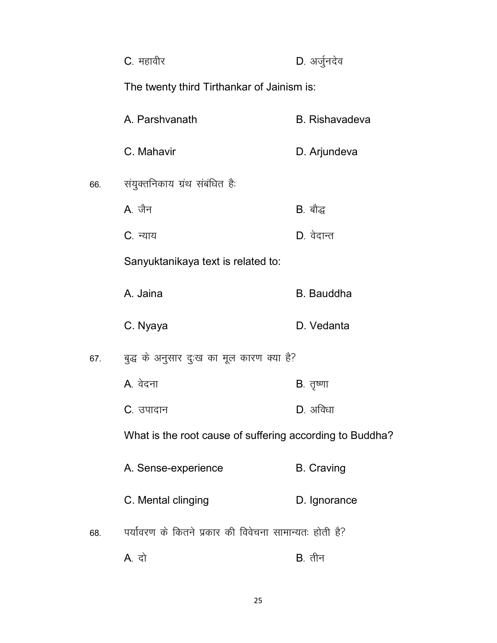|     | C. महावीर                                                | D. अर्जुनदेव          |  |
|-----|----------------------------------------------------------|-----------------------|--|
|     | The twenty third Tirthankar of Jainism is:               |                       |  |
|     | A. Parshvanath                                           | <b>B.</b> Rishavadeva |  |
|     | C. Mahavir                                               | D. Arjundeva          |  |
| 66. | संयुक्तनिकाय ग्रंथ संबंधित है:                           |                       |  |
|     | A जैन                                                    | <b>B</b> . बौद्ध      |  |
|     | C. न्याय                                                 | D. वेदान्त            |  |
|     | Sanyuktanikaya text is related to:                       |                       |  |
|     | A. Jaina                                                 | <b>B.</b> Bauddha     |  |
|     | C. Nyaya                                                 | D. Vedanta            |  |
| 67. | बुद्ध के अनुसार दुःख का मूल कारण क्या है?                |                       |  |
|     | A. वेदना                                                 | B. तृष्णा             |  |
|     | C. उपादान                                                | $D.$ अविधा            |  |
|     | What is the root cause of suffering according to Buddha? |                       |  |
|     | A. Sense-experience                                      | <b>B.</b> Craving     |  |
|     | C. Mental clinging                                       | D. Ignorance          |  |
| 68. | पर्यावरण के कितने प्रकार की विवेचना सामान्यतः होती है?   |                       |  |
|     | A. दो                                                    | $B.$ तीन              |  |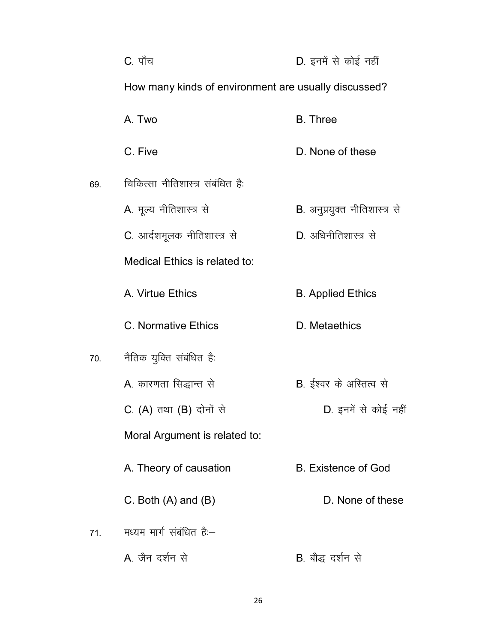|     | C. पाँच                                              | D. इनमें से कोई नहीं            |
|-----|------------------------------------------------------|---------------------------------|
|     | How many kinds of environment are usually discussed? |                                 |
|     | A. Two                                               | <b>B.</b> Three                 |
|     | C. Five                                              | D. None of these                |
| 69. | चिकित्सा नीतिशास्त्र संबंधित है:                     |                                 |
|     | A. मूल्य नीतिशास्त्र से                              | B. अनुप्रयुक्त नीतिशास्त्र से   |
|     | C. आर्दशमूलक नीतिशास्त्र से                          | D. अधिनीतिशास्त्र से            |
|     | Medical Ethics is related to:                        |                                 |
|     | A. Virtue Ethics                                     | <b>B.</b> Applied Ethics        |
|     | <b>C. Normative Ethics</b>                           | D. Metaethics                   |
| 70. | नैतिक युक्ति संबंधित है:                             |                                 |
|     | A. कारणता सिद्धान्त से                               | <b>B</b> . ईश्वर के अस्तित्व से |
|     | C. (A) तथा (B) दोनों से                              | D. इनमें से कोई नहीं            |
|     | Moral Argument is related to:                        |                                 |
|     | A. Theory of causation                               | <b>B.</b> Existence of God      |
|     | C. Both $(A)$ and $(B)$                              | D. None of these                |
| 71. | मध्यम मार्ग संबंधित है:--                            |                                 |
|     | A. जैन दर्शन से                                      | B. बौद्ध दर्शन से               |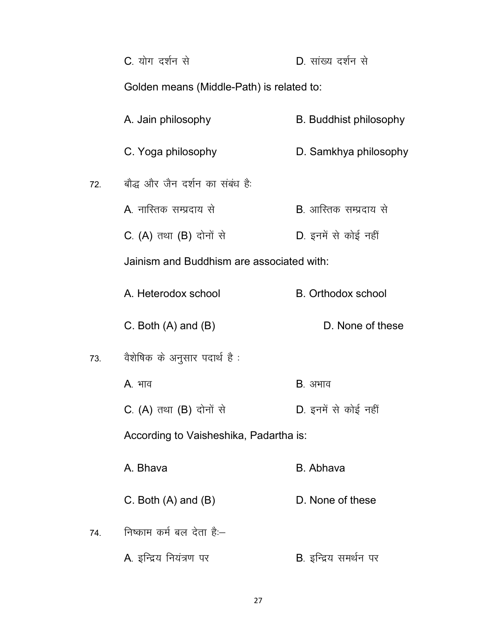|     | C. योग दर्शन से                           | D. सांख्य दर्शन से             |
|-----|-------------------------------------------|--------------------------------|
|     | Golden means (Middle-Path) is related to: |                                |
|     | A. Jain philosophy                        | <b>B.</b> Buddhist philosophy  |
|     | C. Yoga philosophy                        | D. Samkhya philosophy          |
| 72. | बौद्ध और जैन दर्शन का संबंध है:           |                                |
|     | A. नास्तिक सम्प्रदाय से                   | <b>B</b> . आस्तिक सम्प्रदाय से |
|     | C. (A) तथा (B) दोनों से                   | D. इनमें से कोई नहीं           |
|     | Jainism and Buddhism are associated with: |                                |
|     | A. Heterodox school                       | <b>B.</b> Orthodox school      |
|     |                                           |                                |
|     | C. Both $(A)$ and $(B)$                   | D. None of these               |
| 73. | वैशेषिक के अनुसार पदार्थ है :             |                                |
|     | A. भाव                                    | <b>B</b> . अभाव                |
|     | C. (A) तथा (B) दोनों से                   | D. इनमें से कोई नहीं           |
|     | According to Vaisheshika, Padartha is:    |                                |
|     | A. Bhava                                  | <b>B.</b> Abhava               |
|     | C. Both $(A)$ and $(B)$                   | D. None of these               |
| 74. | निष्काम कर्म बल देता है:-                 |                                |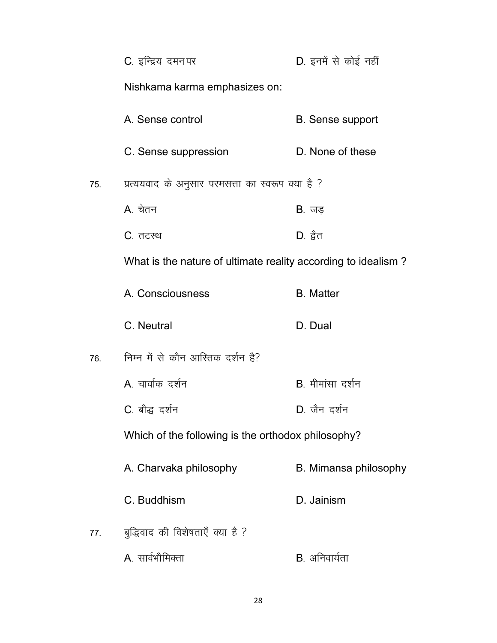|     | C. इन्द्रिय दमन पर                                            | D. इनमें से कोई नहीं    |
|-----|---------------------------------------------------------------|-------------------------|
|     | Nishkama karma emphasizes on:                                 |                         |
|     | A. Sense control                                              | <b>B.</b> Sense support |
|     | C. Sense suppression                                          | D. None of these        |
| 75. | प्रत्ययवाद के अनुसार परमसत्ता का स्वरूप क्या है ?             |                         |
|     | A. चेतन                                                       | $B.$ जड़                |
|     | C. तटस्थ                                                      | $D.$ द्वैत              |
|     | What is the nature of ultimate reality according to idealism? |                         |
|     | A. Consciousness                                              | <b>B.</b> Matter        |
|     | C. Neutral                                                    | D. Dual                 |
| 76. | निम्न में से कौन आस्तिक दर्शन है?                             |                         |
|     | A. चार्वाक दर्शन                                              | B. मीमांसा दर्शन        |
|     | C. बौद्ध दर्शन                                                | D. जैन दर्शन            |
|     | Which of the following is the orthodox philosophy?            |                         |
|     | A. Charvaka philosophy                                        | B. Mimansa philosophy   |
|     | C. Buddhism                                                   | D. Jainism              |
| 77. | बुद्धिवाद की विशेषताएँ क्या है ?                              |                         |
|     | A. सार्वभौमिक्ता                                              | B. अनिवार्यता           |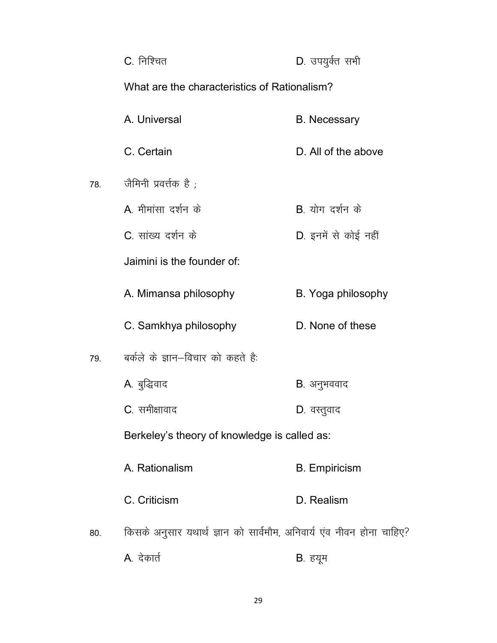|     | C. निश्चित                                                           | D. उपयुर्क्त सभी     |  |
|-----|----------------------------------------------------------------------|----------------------|--|
|     | What are the characteristics of Rationalism?                         |                      |  |
|     | A. Universal                                                         | <b>B.</b> Necessary  |  |
|     | C. Certain                                                           | D. All of the above  |  |
| 78. | जैमिनी प्रवर्त्तक है ;                                               |                      |  |
|     | A. मीमांसा दर्शन के                                                  | B योग दर्शन के       |  |
|     | C. सांख्य दर्शन के                                                   | D. इनमें से कोई नहीं |  |
|     | Jaimini is the founder of:                                           |                      |  |
|     | A. Mimansa philosophy                                                | B. Yoga philosophy   |  |
|     | C. Samkhya philosophy                                                | D. None of these     |  |
| 79. | बर्कले के ज्ञान-विचार को कहते है:                                    |                      |  |
|     | A. बुद्धिवाद                                                         | B. अनुभववाद          |  |
|     | <b>C</b> . समीक्षावाद                                                | D. वस्तुवाद          |  |
|     | Berkeley's theory of knowledge is called as:                         |                      |  |
|     | A. Rationalism                                                       | <b>B.</b> Empiricism |  |
|     | C. Criticism                                                         | D. Realism           |  |
| 80. | किसके अनुसार यथार्थ ज्ञान को सार्वमौम, अनिवार्य एंव नीवन होना चाहिए? |                      |  |
|     | A. देकार्त                                                           | B. हयूम              |  |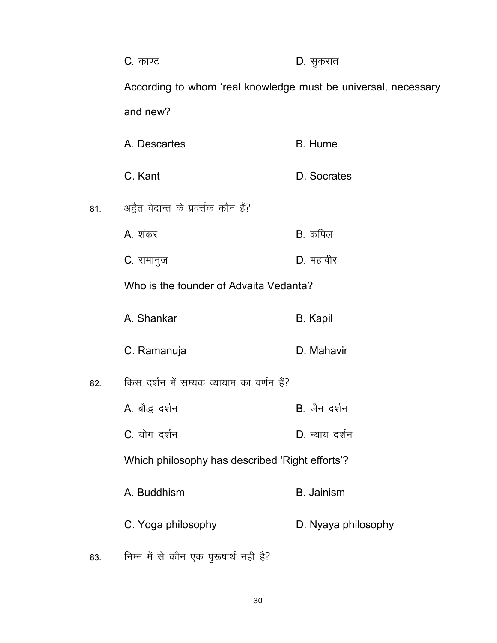|     | C. काण्ट                                                       | D. सुकरात           |  |
|-----|----------------------------------------------------------------|---------------------|--|
|     | According to whom 'real knowledge must be universal, necessary |                     |  |
|     | and new?                                                       |                     |  |
|     | A. Descartes                                                   | <b>B.</b> Hume      |  |
|     | C. Kant                                                        | D. Socrates         |  |
| 81. | अद्वैत वेदान्त के प्रवर्त्तक कौन हैं?                          |                     |  |
|     | A. शंकर                                                        | $B.$ कपिल           |  |
|     | C. रामानुज                                                     | $D.$ महावीर         |  |
|     | Who is the founder of Advaita Vedanta?                         |                     |  |
|     | A. Shankar                                                     | <b>B.</b> Kapil     |  |
|     | C. Ramanuja                                                    | D. Mahavir          |  |
| 82. | किस दर्शन में सम्यक व्यायाम का वर्णन हैं?                      |                     |  |
|     | A. बौद्ध दर्शन                                                 | B. जैन दर्शन        |  |
|     | C. योग दर्शन                                                   | D. न्याय दर्शन      |  |
|     | Which philosophy has described 'Right efforts'?                |                     |  |
|     | A. Buddhism                                                    | <b>B.</b> Jainism   |  |
|     | C. Yoga philosophy                                             | D. Nyaya philosophy |  |
| 83. | निम्न में से कौन एक पुरूषार्थ नही है?                          |                     |  |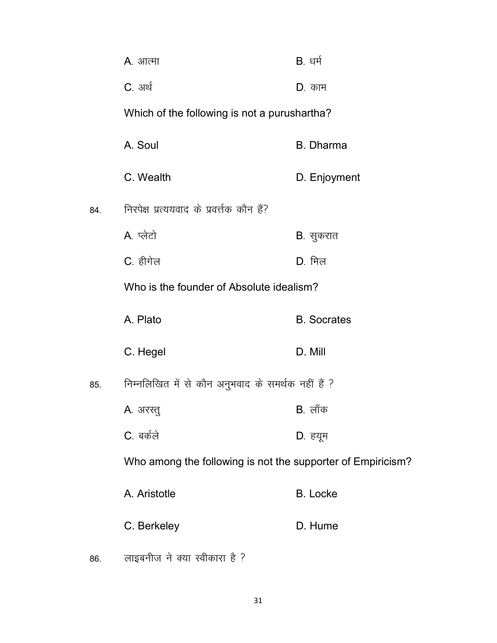|     | <b>A</b> . आत्मा                                            | <b>B</b> . धर्म    |
|-----|-------------------------------------------------------------|--------------------|
|     | <b>C</b> . अर्थ                                             | D. काम             |
|     | Which of the following is not a purushartha?                |                    |
|     | A. Soul                                                     | <b>B.</b> Dharma   |
|     | C. Wealth                                                   | D. Enjoyment       |
| 84. | निरपेक्ष प्रत्ययवाद के प्रवर्त्तक कौन हैं?                  |                    |
|     | A. प्लेटो                                                   | <b>B</b> . सुकरात  |
|     | C. हीगेल                                                    | $D.$ मिल           |
|     | Who is the founder of Absolute idealism?                    |                    |
|     | A. Plato                                                    | <b>B.</b> Socrates |
|     | C. Hegel                                                    | D. Mill            |
| 85. | निम्नलिखित में से कौन अनुभवाद के समर्थक नहीं हैं ?          |                    |
|     | <b>A</b> . अरस्तु                                           | $B.$ लॉक           |
|     | C. बर्कले                                                   | D. हयूम            |
|     | Who among the following is not the supporter of Empiricism? |                    |
|     | A. Aristotle                                                | <b>B.</b> Locke    |
|     | C. Berkeley                                                 | D. Hume            |
| 86. | लाइबनीज ने क्या स्वीकारा है ?                               |                    |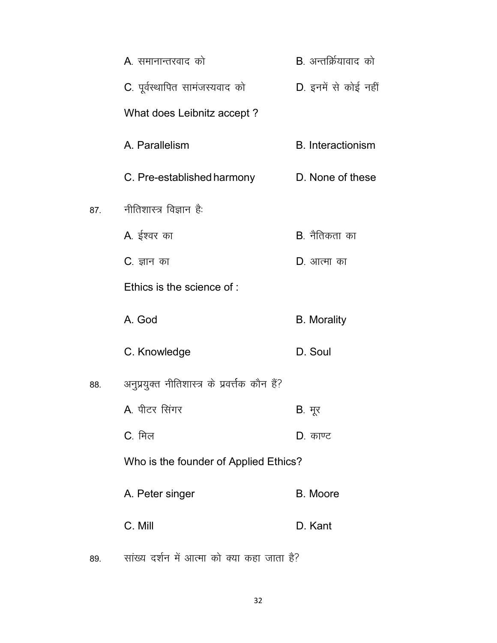|     | A. समानान्तरवाद को                             | <b>B</b> . अन्तर्क्रियावाद को |
|-----|------------------------------------------------|-------------------------------|
|     | C. पूर्वस्थापित सामंजस्यवाद को                 | D. इनमें से कोई नहीं          |
|     | What does Leibnitz accept?                     |                               |
|     | A. Parallelism                                 | <b>B.</b> Interactionism      |
|     | C. Pre-established harmony                     | D. None of these              |
| 87. | नीतिशास्त्र विज्ञान है:                        |                               |
|     | A. ईश्वर का                                    | <b>B</b> . नैतिकता का         |
|     | C. ज्ञान का                                    | D. आत्मा का                   |
|     | Ethics is the science of:                      |                               |
|     | A. God                                         | <b>B.</b> Morality            |
|     | C. Knowledge                                   | D. Soul                       |
| 88. | अनुप्रयुक्त नीतिशास्त्र के प्रवर्त्तक कौन हैं? |                               |
|     | A. पीटर सिंगर                                  | B. मूर                        |
|     | $C_{\cdot}$ मिल                                | D. काण्ट                      |
|     | Who is the founder of Applied Ethics?          |                               |
|     | A. Peter singer                                | <b>B.</b> Moore               |
|     | C. Mill                                        | D. Kant                       |
|     |                                                |                               |

89. सांख्य दर्शन में आत्मा को क्या कहा जाता है?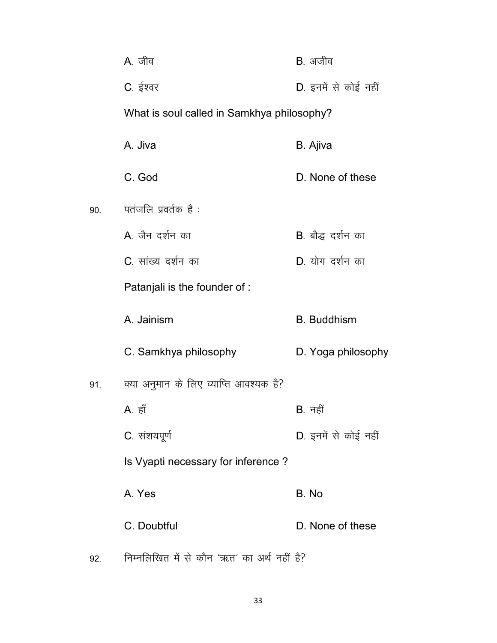|     | A. जीव                                     | B. अजीव              |  |
|-----|--------------------------------------------|----------------------|--|
|     | C. ईश्वर                                   | D. इनमें से कोई नहीं |  |
|     | What is soul called in Samkhya philosophy? |                      |  |
|     | A. Jiva                                    | B. Ajiva             |  |
|     | C. God                                     | D. None of these     |  |
| 90. | पतंजलि प्रवर्तक है:                        |                      |  |
|     | A. जैन दर्शन का                            | B. बौद्ध दर्शन का    |  |
|     | C. सांख्य दर्शन का                         | $D.$ योग दर्शन का    |  |
|     | Patanjali is the founder of :              |                      |  |
|     | A. Jainism                                 | <b>B.</b> Buddhism   |  |
|     | C. Samkhya philosophy                      | D. Yoga philosophy   |  |
| 91. | क्या अनुमान के लिए व्याप्ति आवश्यक है?     |                      |  |
|     | A. हाँ                                     | B. नहीं              |  |
|     | C. संशयपूर्ण                               | D. इनमें से कोई नहीं |  |
|     | Is Vyapti necessary for inference?         |                      |  |
|     | A. Yes                                     | B. No                |  |
|     | C. Doubtful                                | D. None of these     |  |
|     |                                            |                      |  |

 $92.$  निम्नलिखित में से कौन 'ऋत' का अर्थ नहीं है?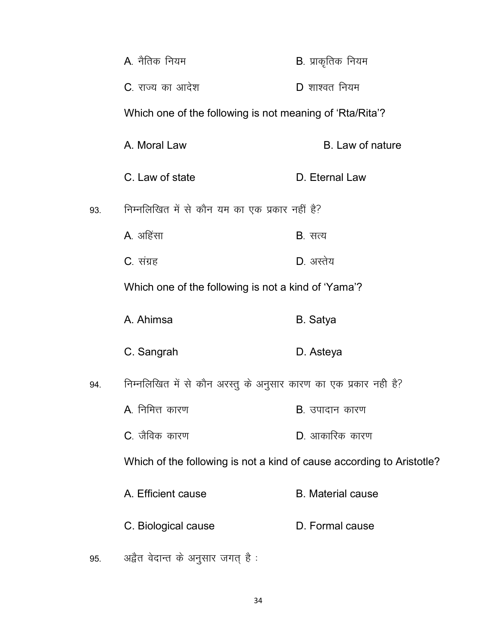|     | A. नैतिक नियम                                                         | <b>B</b> . प्राकृतिक नियम |
|-----|-----------------------------------------------------------------------|---------------------------|
|     | C. राज्य का आदेश                                                      | $D$ शाश्वत नियम           |
|     | Which one of the following is not meaning of 'Rta/Rita'?              |                           |
|     | A. Moral Law                                                          | B. Law of nature          |
|     | C. Law of state                                                       | D. Eternal Law            |
| 93. | निम्नलिखित में से कौन यम का एक प्रकार नहीं है?                        |                           |
|     | A. अहिंसा                                                             | <b>B</b> . सत्य           |
|     | C. संग्रह                                                             | $D.$ अस्तेय               |
|     | Which one of the following is not a kind of 'Yama'?                   |                           |
|     | A. Ahimsa                                                             | B. Satya                  |
|     | C. Sangrah                                                            | D. Asteya                 |
| 94. | निम्नलिखित में से कौन अरस्तु के अनुसार कारण का एक प्रकार नही है?      |                           |
|     | A. निमित्त कारण                                                       | <b>B</b> . उपादान कारण    |
|     | C. जैविक कारण                                                         | <b>D</b> . आकारिक कारण    |
|     | Which of the following is not a kind of cause according to Aristotle? |                           |
|     | A. Efficient cause                                                    | <b>B.</b> Material cause  |
|     | C. Biological cause                                                   | D. Formal cause           |
| 95. | अद्वैत वेदान्त के अनुसार जगत् है :                                    |                           |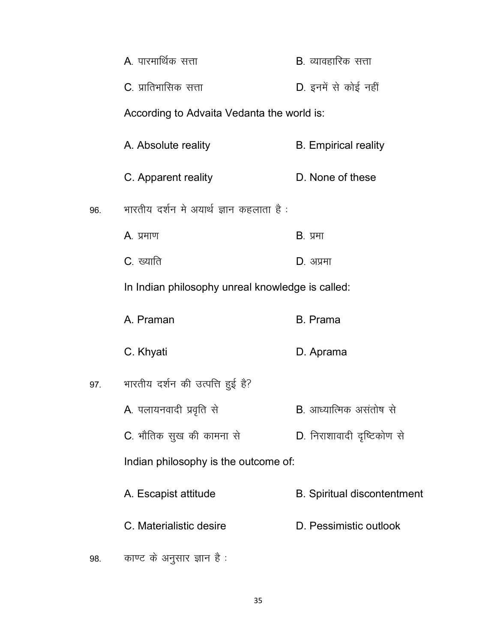|     | A. पारमार्थिक सत्ता                              | <b>B</b> . व्यावहारिक सत्ता        |
|-----|--------------------------------------------------|------------------------------------|
|     | C. प्रातिभासिक सत्ता                             | D. इनमें से कोई नहीं               |
|     | According to Advaita Vedanta the world is:       |                                    |
|     | A. Absolute reality                              | <b>B.</b> Empirical reality        |
|     | C. Apparent reality                              | D. None of these                   |
| 96. | भारतीय दर्शन मे अयार्थ ज्ञान कहलाता है :         |                                    |
|     | A. प्रमाण                                        | <b>B.</b> प्रमा                    |
|     | <b>C</b> . ख्याति                                | D. अप्रमा                          |
|     | In Indian philosophy unreal knowledge is called: |                                    |
|     | A. Praman                                        | <b>B.</b> Prama                    |
|     | C. Khyati                                        | D. Aprama                          |
| 97. | भारतीय दर्शन की उत्पत्ति हुई है?                 |                                    |
|     | A. पलायनवादी प्रवृति से                          | <b>B</b> . आध्यात्मिक असंतोष से    |
|     | C. भौतिक सुख की कामना से                         | D. निराशावादी दृष्टिकोण से         |
|     | Indian philosophy is the outcome of:             |                                    |
|     | A. Escapist attitude                             | <b>B.</b> Spiritual discontentment |
|     | C. Materialistic desire                          | D. Pessimistic outlook             |
| 98. | काण्ट के अनुसार ज्ञान है:                        |                                    |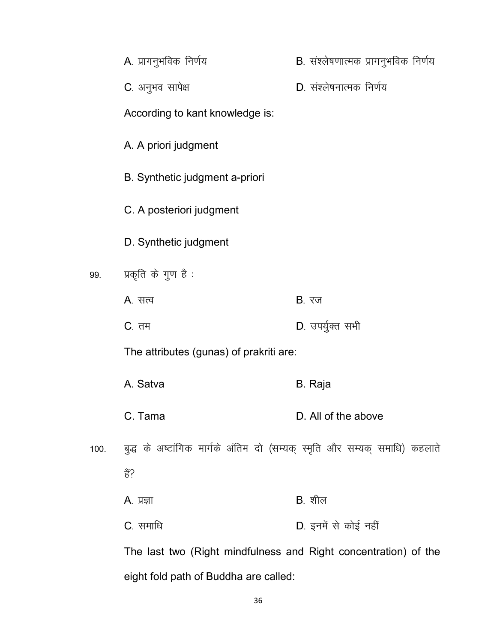|      | A. प्रागनुभविक निर्णय                                                      | B. संश्लेषणात्मक प्रागनुभविक निर्णय |
|------|----------------------------------------------------------------------------|-------------------------------------|
|      | C. अनुभव सापेक्ष                                                           | D. संश्लेषनात्मक निर्णय             |
|      | According to kant knowledge is:                                            |                                     |
|      | A. A priori judgment                                                       |                                     |
|      | B. Synthetic judgment a-priori                                             |                                     |
|      | C. A posteriori judgment                                                   |                                     |
|      | D. Synthetic judgment                                                      |                                     |
| 99.  | प्रकृति के गुण है :                                                        |                                     |
|      | A. सत्व                                                                    | <b>B</b> . रज                       |
|      | <b>C</b> . तम                                                              | D. उपर्युक्त सभी                    |
|      | The attributes (gunas) of prakriti are:                                    |                                     |
|      | A. Satva                                                                   | B. Raja                             |
|      | C. Tama                                                                    | D. All of the above                 |
| 100. | बुद्ध के अष्टांगिक मार्गके अंतिम दो (सम्यक् स्मृति और सम्यक् समाधि) कहलाते |                                     |
|      | हैं?                                                                       |                                     |
|      | <b>A</b> . प्रज्ञा                                                         | $B.$ शील                            |
|      | <b>C</b> . समाधि                                                           | D. इनमें से कोई नहीं                |
|      | The last two (Right mindfulness and Right concentration) of the            |                                     |

eight fold path of Buddha are called: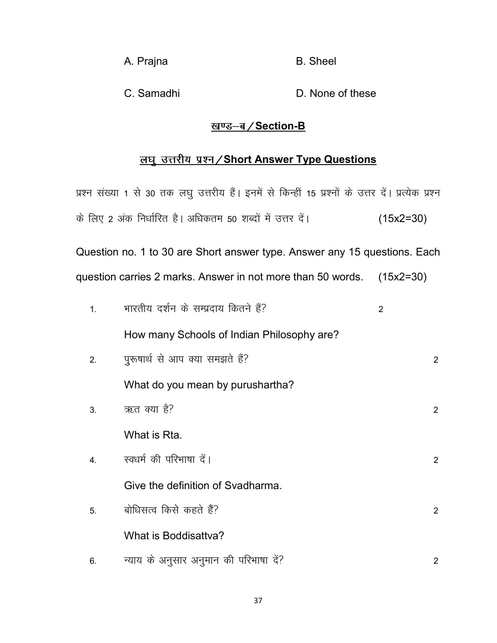A. Prajna B. Sheel

C. Samadhi D. None of these

## <u>खण्ड-ब/Section-B</u>

# <u>लघु उत्तरीय प्रश्न / Short Answer Type Questions</u>

|                  | प्रश्न संख्या 1 से 30 तक लघु उत्तरीय हैं। इनमें से किन्हीं 15 प्रश्नों के उत्तर दें। प्रत्येक प्रश्न |                |                |
|------------------|------------------------------------------------------------------------------------------------------|----------------|----------------|
|                  | के लिए 2 अंक निर्धारित है। अधिकतम 50 शब्दों में उत्तर दें।                                           | $(15x2=30)$    |                |
|                  | Question no. 1 to 30 are Short answer type. Answer any 15 questions. Each                            |                |                |
|                  | question carries 2 marks. Answer in not more than 50 words.                                          | $(15x2=30)$    |                |
| 1.               | भारतीय दर्शन के सम्प्रदाय कितने हैं?                                                                 | $\overline{2}$ |                |
|                  | How many Schools of Indian Philosophy are?                                                           |                |                |
| 2.               | पुरूषार्थ से आप क्या समझते हैं?                                                                      |                | $\overline{2}$ |
|                  | What do you mean by purushartha?                                                                     |                |                |
| 3.               | ऋत क्या है?                                                                                          |                | $\overline{2}$ |
|                  | What is Rta.                                                                                         |                |                |
| $\overline{4}$ . | स्वधर्म की परिभाषा दें।                                                                              |                | $\overline{2}$ |
|                  | Give the definition of Svadharma.                                                                    |                |                |
| 5.               | बोधिसत्व किसे कहते हैं?                                                                              |                | 2              |
|                  | What is Boddisattva?                                                                                 |                |                |
| 6.               | न्याय के अनुसार अनुमान की परिभाषा दें?                                                               |                | $\overline{2}$ |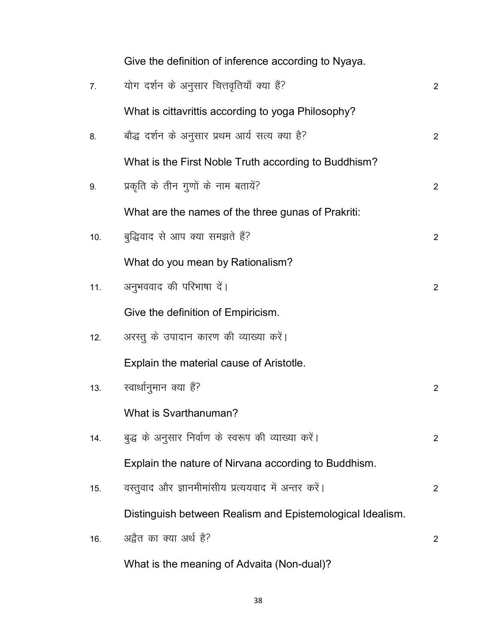|     | Give the definition of inference according to Nyaya.      |                |
|-----|-----------------------------------------------------------|----------------|
| 7.  | योग दर्शन के अनुसार चित्तवृतियाँ क्या हैं?                | $\overline{2}$ |
|     | What is cittavrittis according to yoga Philosophy?        |                |
| 8.  | बौद्ध दर्शन के अनुसार प्रथम आर्य सत्य क्या है?            | $\overline{2}$ |
|     | What is the First Noble Truth according to Buddhism?      |                |
| 9.  | प्रकृति के तीन गुणों के नाम बतायें?                       | $\overline{2}$ |
|     | What are the names of the three gunas of Prakriti:        |                |
| 10. | बुद्धिवाद से आप क्या समझते हैं?                           | $\overline{2}$ |
|     | What do you mean by Rationalism?                          |                |
| 11. | अनुभववाद की परिभाषा दें।                                  | $\overline{2}$ |
|     | Give the definition of Empiricism.                        |                |
| 12. | अरस्तु के उपादान कारण की व्याख्या करें।                   |                |
|     | Explain the material cause of Aristotle.                  |                |
| 13. | स्वार्थानुमान क्या हैं?                                   | $\overline{2}$ |
|     | What is Svarthanuman?                                     |                |
| 14. | बुद्ध के अनुसार निर्वाण के स्वरूप की व्याख्या करें।       | $\overline{2}$ |
|     | Explain the nature of Nirvana according to Buddhism.      |                |
| 15. | वस्तुवाद और ज्ञानमीमांसीय प्रत्ययवाद में अन्तर करें।      | 2              |
|     | Distinguish between Realism and Epistemological Idealism. |                |
| 16. | अद्वैत का क्या अर्थ है?                                   | 2              |
|     | What is the meaning of Advaita (Non-dual)?                |                |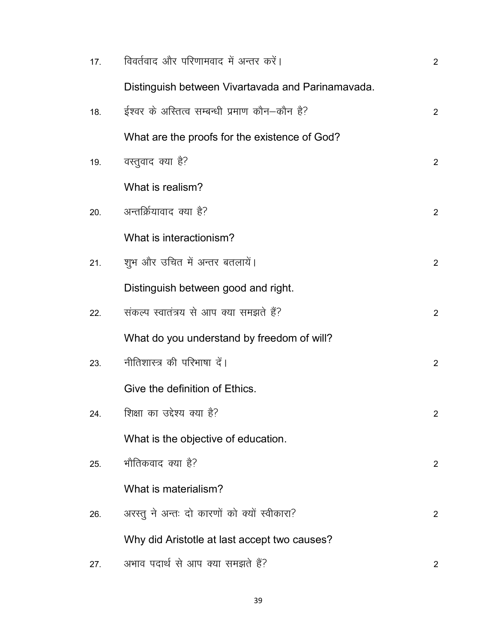| 17. | विवर्तवाद और परिणामवाद में अन्तर करें।            | $\overline{2}$        |
|-----|---------------------------------------------------|-----------------------|
|     | Distinguish between Vivartavada and Parinamavada. |                       |
| 18. | ईश्वर के अस्तित्व सम्बन्धी प्रमाण कौन–कौन है?     | $\overline{2}$        |
|     | What are the proofs for the existence of God?     |                       |
| 19. | वस्तुवाद क्या है?                                 | $\overline{2}$        |
|     | What is realism?                                  |                       |
| 20. | अन्तर्क्रियावाद क्या है?                          | $\overline{2}$        |
|     | What is interactionism?                           |                       |
| 21. | शूभ और उचित में अन्तर बतलायें।                    | $\overline{2}$        |
|     | Distinguish between good and right.               |                       |
| 22. | संकल्प स्वातंत्रय से आप क्या समझते हैं?           | $\overline{2}$        |
|     | What do you understand by freedom of will?        |                       |
| 23. | नीतिशास्त्र की परिभाषा दें।                       | $\overline{2}$        |
|     | Give the definition of Ethics.                    |                       |
| 24. | शिक्षा का उद्देश्य क्या है?                       | $\overline{2}$        |
|     | What is the objective of education.               |                       |
| 25. | भौतिकवाद क्या है?                                 | $\mathbf{2}^{\prime}$ |
|     | What is materialism?                              |                       |
| 26. | अरस्तू ने अन्तः दो कारणों को क्यों स्वीकारा?      | 2                     |
|     | Why did Aristotle at last accept two causes?      |                       |
| 27. | अभाव पदार्थ से आप क्या समझते हैं?                 | 2                     |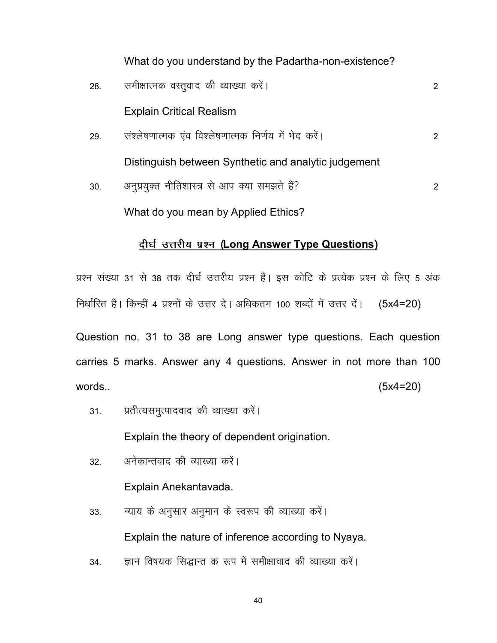What do you understand by the Padartha-non-existence?

28- leh{kkRed oLrqokn dh O;k[;k dj saA 2 Explain Critical Realism 29- la'y"s k.kkRed ,ao fo'ys"k.kkRed fu.kZ; esa Hksn djsaA 2

Distinguish between Synthetic and analytic judgement

30- vuqiz;qDr uhfr'kkL= ls vki D;k le>r s gSa\ 2 What do you mean by Applied Ethics?

## दीर्घ उत्तरीय प्रश्न (Long Answer Type Questions)

प्रश्न संख्या 31 से 38 तक दीर्घ उत्तरीय प्रश्न हैं। इस कोटि के प्रत्येक प्रश्न के लिए 5 अंक निर्धारित हैं। किन्हीं 4 प्रश्नों के उत्तर दे। अधिकतम 100 शब्दों में उत्तर दें। (5x4=20)

Question no. 31 to 38 are Long answer type questions. Each question carries 5 marks. Answer any 4 questions. Answer in not more than 100 words.. (5x4=20)

31. प्रतीत्यसमुत्पादवाद की व्याख्या करें।

Explain the theory of dependent origination.

32 - अनेकान्तवाद की व्याख्या करें।

Explain Anekantavada.

- 33. न्याय के अनुसार अनुमान के स्वरूप की व्याख्या करें। Explain the nature of inference according to Nyaya.
- 34. ज्ञान विषयक सिद्धान्त क रूप में समीक्षावाद की व्याख्या करें।